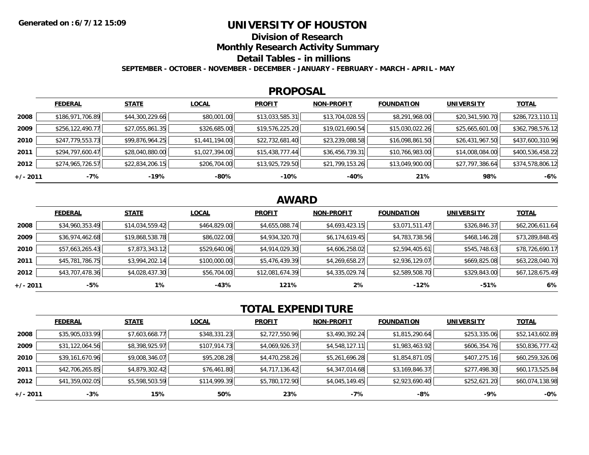### **UNIVERSITY OF HOUSTON**

**Division of Research**

**Monthly Research Activity Summary**

**Detail Tables - in millions**

**SEPTEMBER - OCTOBER - NOVEMBER - DECEMBER - JANUARY - FEBRUARY - MARCH - APRIL - MAY**

#### **PROPOSAL**

|            | <b>FEDERAL</b>   | <b>STATE</b>    | <b>LOCAL</b>   | <b>PROFIT</b>   | <b>NON-PROFIT</b> | <b>FOUNDATION</b> | <b>UNIVERSITY</b> | <u>TOTAL</u>     |
|------------|------------------|-----------------|----------------|-----------------|-------------------|-------------------|-------------------|------------------|
| 2008       | \$186,971,706.89 | \$44,300,229.66 | \$80,001.00    | \$13,033,585.31 | \$13,704,028.55   | \$8,291,968.00    | \$20,341,590.70   | \$286,723,110.11 |
| 2009       | \$256,122,490.77 | \$27,055,861.35 | \$326,685.00   | \$19,576,225.20 | \$19,021,690.54   | \$15,030,022.26   | \$25,665,601.00   | \$362,798,576.12 |
| 2010       | \$247,779,553.73 | \$99,876,964.25 | \$1,441,194.00 | \$22,732,681.40 | \$23,239,088.58   | \$16,098,861.50   | \$26,431,967.50   | \$437,600,310.96 |
| 2011       | \$294,797,600.47 | \$28,040,880.00 | \$1,027,394.00 | \$15,438,777.44 | \$36,456,739.31   | \$10,766,983.00   | \$14,008,084.00   | \$400,536,458.22 |
| 2012       | \$274,965,726.57 | \$22,834,206.15 | \$206,704.00   | \$13,925,729.50 | \$21,799,153.26   | \$13,049,900.00   | \$27,797,386.64   | \$374,578,806.12 |
| $+/- 2011$ | -7%              | -19%            | -80%           | $-10%$          | -40%              | 21%               | 98%               | $-6%$            |

## **AWARD**

|          | <b>FEDERAL</b>  | <b>STATE</b>    | <b>LOCAL</b> | <b>PROFIT</b>   | <b>NON-PROFIT</b> | <b>FOUNDATION</b> | <b>UNIVERSITY</b> | <u>TOTAL</u>    |
|----------|-----------------|-----------------|--------------|-----------------|-------------------|-------------------|-------------------|-----------------|
| 2008     | \$34,960,353.49 | \$14,034,559.42 | \$464,829.00 | \$4,655,088.74  | \$4,693,423.15    | \$3,071,511.47    | \$326,846.37      | \$62,206,611.64 |
| 2009     | \$36,974,462.68 | \$19,868,538.78 | \$86,022.00  | \$4,934,320.70  | \$6,174,619.45    | \$4,783,738.56    | \$468,146.28      | \$73,289,848.45 |
| 2010     | \$57,663,265.43 | \$7,873,343.12  | \$529,640.06 | \$4,914,029.30  | \$4,606,258.02    | \$2,594,405.61    | \$545,748.63      | \$78,726,690.17 |
| 2011     | \$45,781,786.75 | \$3,994,202.14  | \$100,000.00 | \$5,476,439.39  | \$4,269,658.27    | \$2,936,129.07    | \$669,825.08      | \$63,228,040.70 |
| 2012     | \$43,707,478.36 | \$4,028,437.30  | \$56,704.00  | \$12,081,674.39 | \$4,335,029.74    | \$2,589,508.70    | \$329,843.00      | \$67,128,675.49 |
| +/- 2011 | -5%             | $1\%$           | -43%         | 121%            | 2%                | $-12%$            | $-51%$            | 6%              |

# **TOTAL EXPENDITURE**

|          | <b>FEDERAL</b>  | <b>STATE</b>   | <b>LOCAL</b> | <b>PROFIT</b>  | <b>NON-PROFIT</b> | <b>FOUNDATION</b> | <b>UNIVERSITY</b> | <b>TOTAL</b>    |
|----------|-----------------|----------------|--------------|----------------|-------------------|-------------------|-------------------|-----------------|
| 2008     | \$35,905,033.99 | \$7,603,668.77 | \$348,331.23 | \$2,727,550.96 | \$3,490,392.24    | \$1,815,290.64    | \$253,335.06      | \$52,143,602.89 |
| 2009     | \$31,122,064.56 | \$8,398,925.97 | \$107,914.73 | \$4,069,926.37 | \$4,548,127.11    | \$1,983,463.92    | \$606,354.76      | \$50,836,777.42 |
| 2010     | \$39,161,670.96 | \$9,008,346.07 | \$95,208.28  | \$4,470,258.26 | \$5,261,696.28    | \$1,854,871.05    | \$407,275.16      | \$60,259,326.06 |
| 2011     | \$42,706,265.85 | \$4,879,302.42 | \$76,461.80  | \$4,717,136.42 | \$4,347,014.68    | \$3,169,846.37    | \$277,498.30      | \$60,173,525.84 |
| 2012     | \$41,359,002.05 | \$5,598,503.59 | \$114,999.39 | \$5,780,172.90 | \$4,045,149.45    | \$2,923,690.40    | \$252,621.20      | \$60,074,138.98 |
| +/- 2011 | $-3%$           | 15%            | 50%          | 23%            | -7%               | -8%               | -9%               | $-0\%$          |